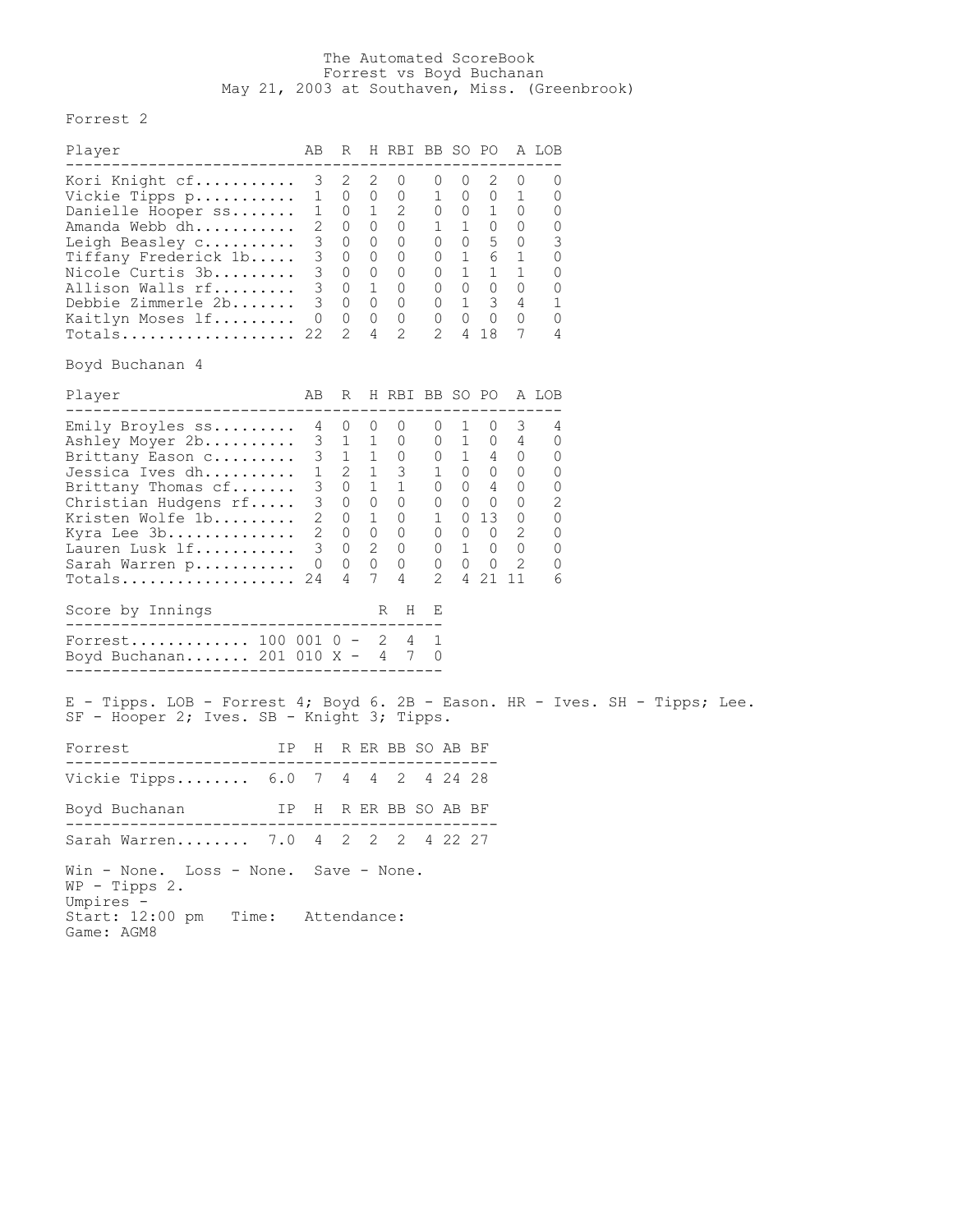## The Automated ScoreBook Forrest vs Boyd Buchanan May 21, 2003 at Southaven, Miss. (Greenbrook)

Forrest 2

| Player                                                                                                                                                                                                                             | AВ                    | R                                                                                                                                                |                                                                   | H RBI BB SO PO A LOB                                                                                                                                                                                                                                                                                                                                                                       |                                                                                   |                   |                                                                                        |                                                                                     |                                                     |  |  |
|------------------------------------------------------------------------------------------------------------------------------------------------------------------------------------------------------------------------------------|-----------------------|--------------------------------------------------------------------------------------------------------------------------------------------------|-------------------------------------------------------------------|--------------------------------------------------------------------------------------------------------------------------------------------------------------------------------------------------------------------------------------------------------------------------------------------------------------------------------------------------------------------------------------------|-----------------------------------------------------------------------------------|-------------------|----------------------------------------------------------------------------------------|-------------------------------------------------------------------------------------|-----------------------------------------------------|--|--|
| -------------------------<br>Kori Knight cf<br>Vickie Tipps p<br>Danielle Hooper ss<br>Amanda Webb dh<br>Leigh Beasley c<br>Tiffany Frederick 1b<br>Nicole Curtis 3b<br>Allison Walls rf<br>Debbie Zimmerle 2b<br>Kaitlyn Moses lf | $\mathbf{1}$          | $3 \quad 2$<br>$\overline{0}$<br>$1 \quad 0 \quad 1$<br>$2 \quad 0$<br>$3 \t 0$<br>$3 \quad 0$<br>3 0 0<br>3 0 1 0<br>3 0 0 0<br>$0\quad 0$<br>2 | 2<br>$\overline{0}$<br>$\overline{0}$<br>$\Omega$<br>$\circ$<br>4 | $\circ$<br>$\overline{0}$<br>2<br>$\overline{0}$<br>$\overline{0}$<br>$\overline{0}$<br>$\overline{0}$<br>$0\quad 0$<br>$\mathbf{2}$                                                                                                                                                                                                                                                       | $\overline{0}$<br>0 0 1 0<br>$1 \quad 1 \quad 0 \quad 0$<br>$\mathbf{2}^{\prime}$ | $\overline{0}$    | $2 \quad$<br>1 0 0 1<br>$0$ 1 1<br>$0 \t1 \t3 \t4$<br>$0\quad 0\quad 0\quad 0$<br>4 18 | 0<br>$0 \t 0 \t 5 \t 0$<br>0 1 6 1<br>$\mathbf{1}$<br>$0\quad 0\quad 0\quad 0$<br>7 | 0<br>0<br>0<br>0<br>3<br>0<br>0<br>0<br>1<br>0<br>4 |  |  |
| Boyd Buchanan 4                                                                                                                                                                                                                    |                       |                                                                                                                                                  |                                                                   |                                                                                                                                                                                                                                                                                                                                                                                            |                                                                                   |                   |                                                                                        |                                                                                     |                                                     |  |  |
| Player<br>----------------------                                                                                                                                                                                                   | AB                    | R                                                                                                                                                |                                                                   | H RBI BB SO PO A LOB                                                                                                                                                                                                                                                                                                                                                                       |                                                                                   |                   |                                                                                        |                                                                                     |                                                     |  |  |
| Emily Broyles ss<br>Ashley Moyer 2b<br>Brittany Eason C<br>Jessica Ives dh<br>Brittany Thomas cf<br>Christian Hudgens rf<br>Kristen Wolfe 1b<br>Kyra Lee 3b<br>Lauren Lusk lf<br>Sarah Warren p                                    |                       | 4 0<br>3 1 1<br>3 0 1 1<br>$\overline{4}$                                                                                                        | $\overline{0}$                                                    | 0<br>$\overline{0}$<br>$\begin{array}{cccccccccccc} 3 & 1 & 1 & 0 & 0 & 1 & 4 & 0 \\ 1 & 2 & 1 & 3 & 1 & 0 & 0 & 0 \end{array}$<br>$\begin{array}{cccccccc} 3 & 0 & 0 & 0 & 0 & 0 & 0 & 0 \\ 2 & 0 & 1 & 0 & 1 & 0 & 13 & 0 \end{array}$<br>$\begin{array}{cccccccccccc} 2 & 0 & 0 & 0 & 0 & 0 & 0 & 2 \\ 3 & 0 & 2 & 0 & 0 & 1 & 0 & 0 \end{array}$<br>$0\qquad 0\qquad 0\qquad 0$<br>7 4 | $0 \quad 0 \quad 4 \quad 0$<br>$\overline{2}$                                     | $0\quad 1\quad 0$ | $0\quad 0\quad 0$<br>4 21 11                                                           | 3<br>$0\quad 1\quad 0\quad 4$<br>$0$ 1 0 0<br>$\mathbf{2}^{\prime}$                 | 4<br>0<br>0<br>0<br>0<br>2<br>0<br>0<br>0<br>0<br>6 |  |  |
| Score by Innings                                                                                                                                                                                                                   |                       |                                                                                                                                                  |                                                                   | R H                                                                                                                                                                                                                                                                                                                                                                                        | Е                                                                                 |                   |                                                                                        |                                                                                     |                                                     |  |  |
| Forrest $100 001 0 - 2 4 1$<br>Boyd Buchanan 201 010 X - 4 7 0                                                                                                                                                                     |                       |                                                                                                                                                  |                                                                   |                                                                                                                                                                                                                                                                                                                                                                                            |                                                                                   |                   |                                                                                        |                                                                                     |                                                     |  |  |
| E - Tipps. LOB - Forrest 4; Boyd 6. 2B - Eason. HR - Ives. SH - Tipps; Lee.<br>SF - Hooper 2; Ives. SB - Knight 3; Tipps.                                                                                                          |                       |                                                                                                                                                  |                                                                   |                                                                                                                                                                                                                                                                                                                                                                                            |                                                                                   |                   |                                                                                        |                                                                                     |                                                     |  |  |
| Forrest                                                                                                                                                                                                                            | IP H R ER BB SO AB BF |                                                                                                                                                  |                                                                   |                                                                                                                                                                                                                                                                                                                                                                                            |                                                                                   |                   |                                                                                        |                                                                                     |                                                     |  |  |
| Vickie Tipps 6.0 7 4 4 2                                                                                                                                                                                                           |                       |                                                                                                                                                  |                                                                   |                                                                                                                                                                                                                                                                                                                                                                                            |                                                                                   | 4 24 28           |                                                                                        |                                                                                     |                                                     |  |  |
| IP H R ER BB SO AB BF<br>Boyd Buchanan                                                                                                                                                                                             |                       |                                                                                                                                                  |                                                                   |                                                                                                                                                                                                                                                                                                                                                                                            |                                                                                   |                   |                                                                                        |                                                                                     |                                                     |  |  |
| Sarah Warren 7.0 4 2 2 2 4 22 27                                                                                                                                                                                                   |                       |                                                                                                                                                  |                                                                   |                                                                                                                                                                                                                                                                                                                                                                                            |                                                                                   |                   |                                                                                        |                                                                                     |                                                     |  |  |
| Win - None. Loss - None. Save - None.<br>$WP - Tipps 2.$<br>Umpires -<br>Start: 12:00 pm Time: Attendance:<br>Game: AGM8                                                                                                           |                       |                                                                                                                                                  |                                                                   |                                                                                                                                                                                                                                                                                                                                                                                            |                                                                                   |                   |                                                                                        |                                                                                     |                                                     |  |  |